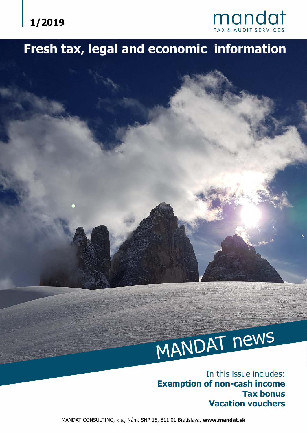



# **Fresh tax, legal and economic information**

# MANDAT news

In this issue includes: **Exemption of non-cash income Tax bonus Vacation vouchers**

MANDAT CONSULTING, k.s., Nám. SNP 15, 811 01 Bratislava, **www.mandat.sk**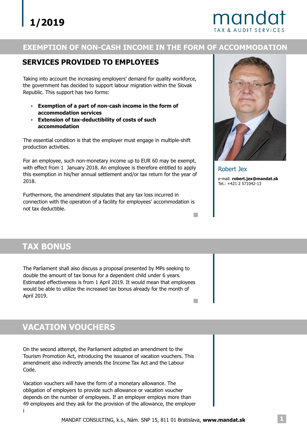# mandat

#### **EXEMPTION OF NON-CASH INCOME IN THE FORM OF ACCOMMODATION**

#### **SERVICES PROVIDED TO EMPLOYEES**

Taking into account the increasing employers' demand for quality workforce, the government has decided to support labour migration within the Slovak Republic. This support has two forms:

- **Exemption of a part of non-cash income in the form of accommodation services**
- **Extension of tax-deductibility of costs of such accommodation**

The essential condition is that the employer must engage in multiple-shift production activities.

For an employee, such non-monetary income up to EUR 60 may be exempt, with effect from 1 January 2018. An employee is therefore entitled to apply this exemption in his/her annual settlement and/or tax return for the year of 2018.

Furthermore, the amendment stipulates that any tax loss incurred in connection with the operation of a facility for employees' accommodation is not tax deductible.



Robert Jex e-mail: **robert.jex@mandat.sk** Tel.: +421 2 571042-13

**Tarix** 

# **TAX BONUS**

The Parliament shall also discuss a proposal presented by MPs seeking to double the amount of tax bonus for a dependent child under 6 years. Estimated effectiveness is from 1 April 2019. It would mean that employees would be able to utilize the increased tax bonus already for the month of April 2019.  $\overline{\phantom{a}}$ 

# **VACATION VOUCHERS**

On the second attempt, the Parliament adopted an amendment to the Tourism Promotion Act, introducing the issuance of vacation vouchers. This amendment also indirectly amends the Income Tax Act and the Labour Code.

Vacation vouchers will have the form of a monetary allowance. The obligation of employers to provide such allowance or vacation voucher depends on the number of employees. If an employer employs more than 49 employees and they ask for the provision of the allowance, the employer i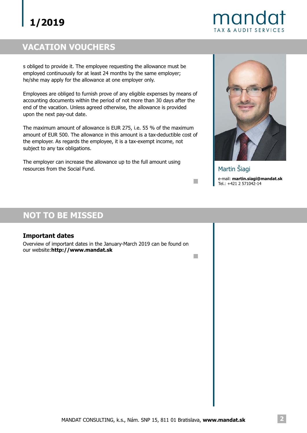# **1/2019**

mando TAX & AUDIT SERVICES

# **VACATION VOUCHERS**

s obliged to provide it. The employee requesting the allowance must be employed continuously for at least 24 months by the same employer; he/she may apply for the allowance at one employer only.

Employees are obliged to furnish prove of any eligible expenses by means of accounting documents within the period of not more than 30 days after the end of the vacation. Unless agreed otherwise, the allowance is provided upon the next pay-out date.

The maximum amount of allowance is EUR 275, i.e. 55 % of the maximum amount of EUR 500. The allowance in this amount is a tax-deductible cost of the employer. As regards the employee, it is a tax-exempt income, not subject to any tax obligations.

The employer can increase the allowance up to the full amount using resources from the Social Fund.



e-mail: **martin.siagi@mandat.sk** Tel.: +421 2 571042-14 Martin Šiagi

 $\mathcal{C}^{\mathcal{A}}$ 

 $\Box$ 

## **NOT TO BE MISSED**

#### **Important dates**

Overview of important dates in the January-March 2019 can be found on our website:**http://www.mandat.sk**